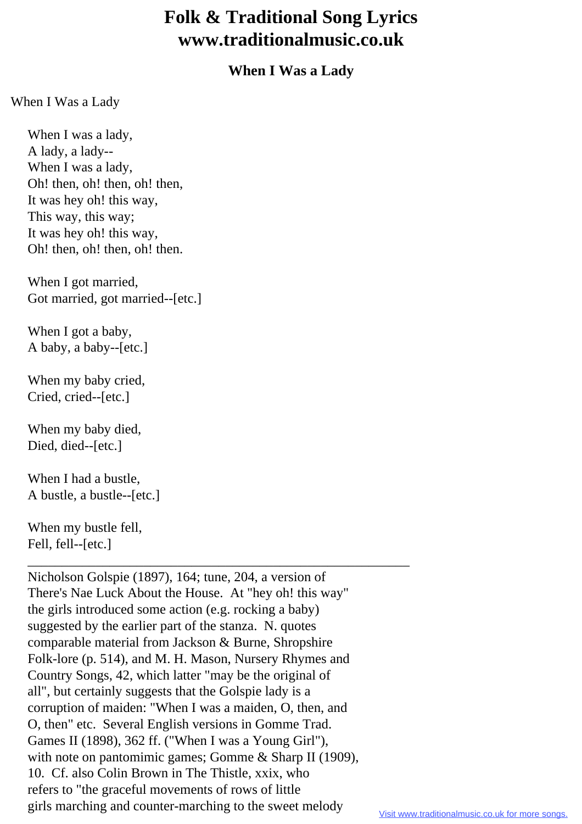## **Folk & Traditional Song Lyrics www.traditionalmusic.co.uk**

## **When I Was a Lady**

When I Was a Lady

 When I was a lady, A lady, a lady-- When I was a lady, Oh! then, oh! then, oh! then, It was hey oh! this way, This way, this way; It was hey oh! this way, Oh! then, oh! then, oh! then.

 When I got married, Got married, got married--[etc.]

When I got a baby, A baby, a baby--[etc.]

 When my baby cried, Cried, cried--[etc.]

 When my baby died, Died, died--[etc.]

 When I had a bustle, A bustle, a bustle--[etc.]

 When my bustle fell, Fell, fell--[etc.]

 Nicholson Golspie (1897), 164; tune, 204, a version of There's Nae Luck About the House. At "hey oh! this way" the girls introduced some action (e.g. rocking a baby) suggested by the earlier part of the stanza. N. quotes comparable material from Jackson & Burne, Shropshire Folk-lore (p. 514), and M. H. Mason, Nursery Rhymes and Country Songs, 42, which latter "may be the original of all", but certainly suggests that the Golspie lady is a corruption of maiden: "When I was a maiden, O, then, and O, then" etc. Several English versions in Gomme Trad. Games II (1898), 362 ff. ("When I was a Young Girl"), with note on pantomimic games; Gomme & Sharp II (1909), 10. Cf. also Colin Brown in The Thistle, xxix, who refers to "the graceful movements of rows of little girls marching and counter-marching to the sweet melody

\_\_\_\_\_\_\_\_\_\_\_\_\_\_\_\_\_\_\_\_\_\_\_\_\_\_\_\_\_\_\_\_\_\_\_\_\_\_\_\_\_\_\_\_\_\_\_\_\_\_\_\_\_\_\_\_